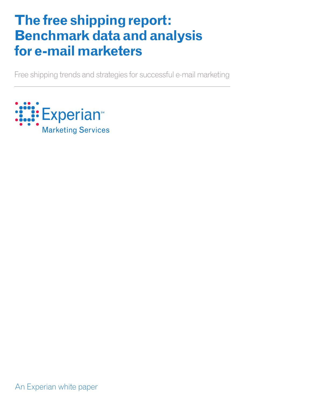# **The free shipping report: Benchmark data and analysis for e-mail marketers**

Free shipping trends and strategies for successful e-mail marketing

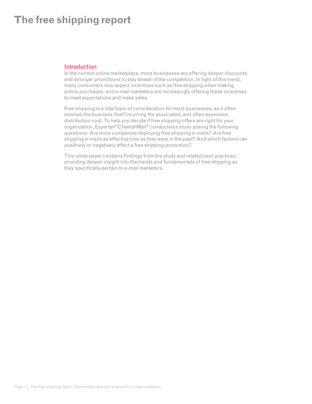### **Introduction**

In the current online marketplace, more businesses are offering deeper discounts and stronger promotions to stay ahead of the competition. In light of this trend, many consumers now expect incentives such as free shipping when making online purchases, and e-mail marketers are increasingly offering these incentives to meet expectations and make sales.

Free shipping is a vital topic of consideration for most businesses, as it often involves the business itself incurring the associated, and often expensive, distribution cost. To help you decide if free shipping offers are right for your organization, Experian® CheetahMail® conducted a study posing the following questions: Are more companies deploying free shipping e-mails? Are free shipping e-mails as effective now as they were in the past? And which factors can positively or negatively affect a free shipping promotion?

This white paper contains findings from the study and related best practices, providing deeper insight into the trends and fundamentals of free shipping as they specifically pertain to e-mail marketers.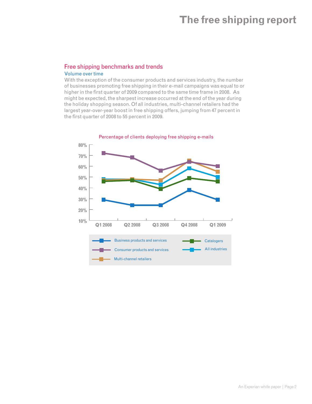### Free shipping benchmarks and trends Volume over time

With the exception of the consumer products and services industry, the number of businesses promoting free shipping in their e-mail campaigns was equal to or higher in the first quarter of 2009 compared to the same time frame in 2008. As might be expected, the sharpest increase occurred at the end of the year during the holiday shopping season. Of all industries, multi-channel retailers had the largest year-over-year boost in free shipping offers, jumping from 47 percent in the first quarter of 2008 to 55 percent in 2009.



Percentage of clients deploying free shipping e-mails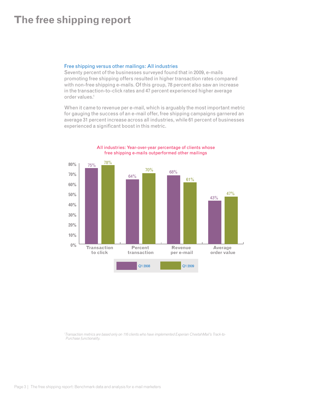#### Free shipping versus other mailings: All industries

Seventy percent of the businesses surveyed found that in 2009, e-mails promoting free shipping offers resulted in higher transaction rates compared with non-free shipping e-mails. Of this group, 78 percent also saw an increase in the transaction-to-click rates and 47 percent experienced higher average order values.1

When it came to revenue per e-mail, which is arguably the most important metric for gauging the success of an e-mail offer, free shipping campaigns garnered an average 31 percent increase across all industries, while 61 percent of businesses experienced a significant boost in this metric.



All industries: Year-over-year percentage of clients whose free shipping e-mails outperformed other mailings

*1 Transaction metrics are based only on 116 clients who have implemented Experian CheetahMail's Track-to-Purchase functionality.*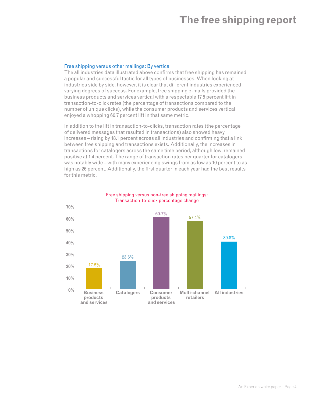#### Free shipping versus other mailings: By vertical

The all industries data illustrated above confirms that free shipping has remained a popular and successful tactic for all types of businesses. When looking at industries side by side, however, it is clear that different industries experienced varying degrees of success. For example, free shipping e-mails provided the business products and services vertical with a respectable 17.5 percent lift in transaction-to-click rates (the percentage of transactions compared to the number of unique clicks), while the consumer products and services vertical enjoyed a whopping 60.7 percent lift in that same metric.

In addition to the lift in transaction-to-clicks, transaction rates (the percentage of delivered messages that resulted in transactions) also showed heavy increases – rising by 18.1 percent across all industries and confirming that a link between free shipping and transactions exists. Additionally, the increases in transactions for catalogers across the same time period, although low, remained positive at 1.4 percent. The range of transaction rates per quarter for catalogers was notably wide – with many experiencing swings from as low as 10 percent to as high as 26 percent. Additionally, the first quarter in each year had the best results for this metric.



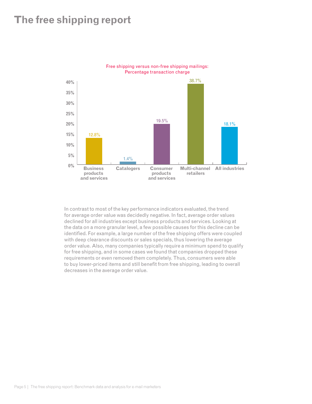

Free shipping versus non-free shipping mailings: Percentage transaction charge

In contrast to most of the key performance indicators evaluated, the trend for average order value was decidedly negative. In fact, average order values declined for all industries except business products and services. Looking at the data on a more granular level, a few possible causes for this decline can be identified. For example, a large number of the free shipping offers were coupled with deep clearance discounts or sales specials, thus lowering the average order value. Also, many companies typically require a minimum spend to qualify for free shipping, and in some cases we found that companies dropped these requirements or even removed them completely. Thus, consumers were able to buy lower-priced items and still benefit from free shipping, leading to overall decreases in the average order value.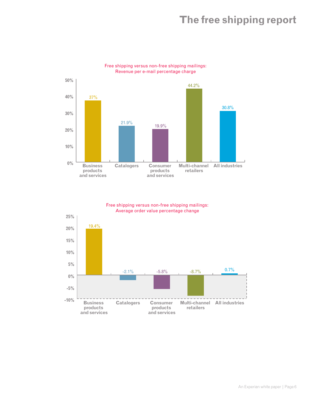

#### Free shipping versus non-free shipping mailings: Revenue per e-mail percentage charge

Free shipping versus non-free shipping mailings: Average order value percentage change

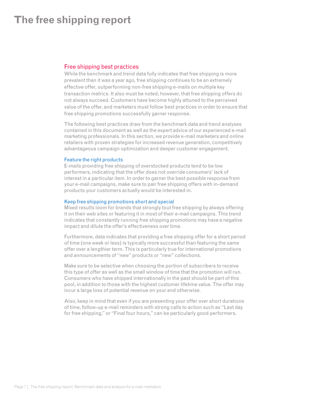### Free shipping best practices

While the benchmark and trend data fully indicates that free shipping is more prevalent than it was a year ago, free shipping continues to be an extremely effective offer, outperforming non-free shipping e-mails on multiple key transaction metrics. It also must be noted, however, that free shipping offers do not always succeed. Customers have become highly attuned to the perceived value of the offer, and marketers must follow best practices in order to ensure that free shipping promotions successfully garner response.

The following best practices draw from the benchmark data and trend analyses contained in this document as well as the expert advice of our experienced e-mail marketing professionals. In this section, we provide e-mail marketers and online retailers with proven strategies for increased revenue generation, competitively advantageous campaign optimization and deeper customer engagement.

#### Feature the right products

E-mails providing free shipping of overstocked products tend to be low performers, indicating that the offer does not override consumers' lack of interest in a particular item. In order to garner the best possible response from your e-mail campaigns, make sure to pair free shipping offers with in-demand products your customers actually would be interested in.

#### Keep free shipping promotions short and special

Mixed results loom for brands that strongly tout free shipping by always offering it on their web sites or featuring it in most of their e-mail campaigns. This trend indicates that constantly running free shipping promotions may have a negative impact and dilute the offer's effectiveness over time.

Furthermore, data indicates that providing a free shipping offer for a short period of time (one week or less) is typically more successful than featuring the same offer over a lengthier term. This is particularly true for international promotions and announcements of "new" products or "new" collections.

Make sure to be selective when choosing the portion of subscribers to receive this type of offer as well as the small window of time that the promotion will run. Consumers who have shipped internationally in the past should be part of this pool, in addition to those with the highest customer lifetime value. The offer may incur a large loss of potential revenue on your end otherwise.

Also, keep in mind that even if you are presenting your offer over short durations of time, follow-up e-mail reminders with strong calls to action such as "Last day for free shipping," or "Final four hours," can be particularly good performers.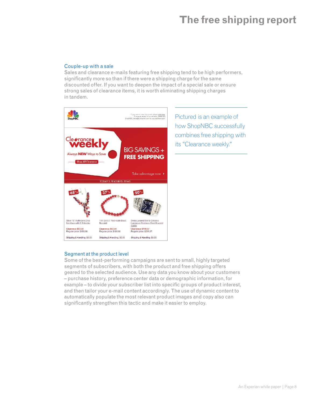#### Couple-up with a sale

Sales and clearance e-mails featuring free shipping tend to be high performers, significantly more so than if there were a shipping charge for the same discounted offer. If you want to deepen the impact of a special sale or ensure strong sales of clearance items, it is worth eliminating shipping charges in tandem.



Pictured is an example of how ShopNBC successfully combines free shipping with its "Clearance weekly."

### Segment at the product level

Some of the best-performing campaigns are sent to small, highly targeted segments of subscribers, with both the product and free shipping offers geared to the selected audience. Use any data you know about your customers – purchase history, preference center data or demographic information, for example – to divide your subscriber list into specific groups of product interest, and then tailor your e-mail content accordingly. The use of dynamic content to automatically populate the most relevant product images and copy also can significantly strengthen this tactic and make it easier to employ.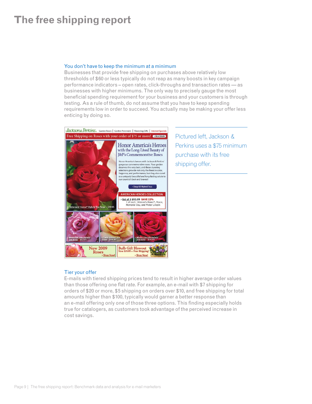#### You don't have to keep the minimum at a minimum

Businesses that provide free shipping on purchases above relatively low thresholds of \$60 or less typically do not reap as many boosts in key campaign performance indicators – open rates, click-throughs and transaction rates — as businesses with higher minimums. The only way to precisely gauge the most beneficial spending requirement for your business and your customers is through testing. As a rule of thumb, do not assume that you have to keep spending requirements low in order to succeed. You actually may be making your offer less enticing by doing so.



Pictured left, Jackson & Perkins uses a \$75 minimum purchase with its free shipping offer.

### Tier your offer

E-mails with tiered shipping prices tend to result in higher average order values than those offering one flat rate. For example, an e-mail with \$7 shipping for orders of \$20 or more, \$5 shipping on orders over \$10, and free shipping for total amounts higher than \$100, typically would garner a better response than an e-mail offering only one of those three options. This finding especially holds true for catalogers, as customers took advantage of the perceived increase in cost savings.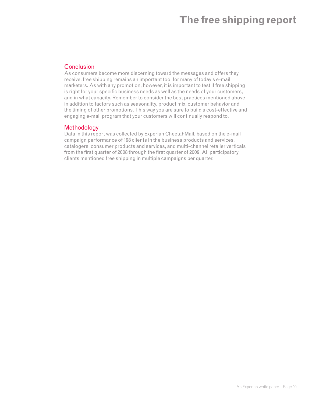### **Conclusion**

As consumers become more discerning toward the messages and offers they receive, free shipping remains an important tool for many of today's e-mail marketers. As with any promotion, however, it is important to test if free shipping is right for your specific business needs as well as the needs of your customers, and in what capacity. Remember to consider the best practices mentioned above in addition to factors such as seasonality, product mix, customer behavior and the timing of other promotions. This way you are sure to build a cost-effective and engaging e-mail program that your customers will continually respond to.

### Methodology

Data in this report was collected by Experian CheetahMail, based on the e-mail campaign performance of 198 clients in the business products and services, catalogers, consumer products and services, and multi-channel retailer verticals from the first quarter of 2008 through the first quarter of 2009. All participatory clients mentioned free shipping in multiple campaigns per quarter.